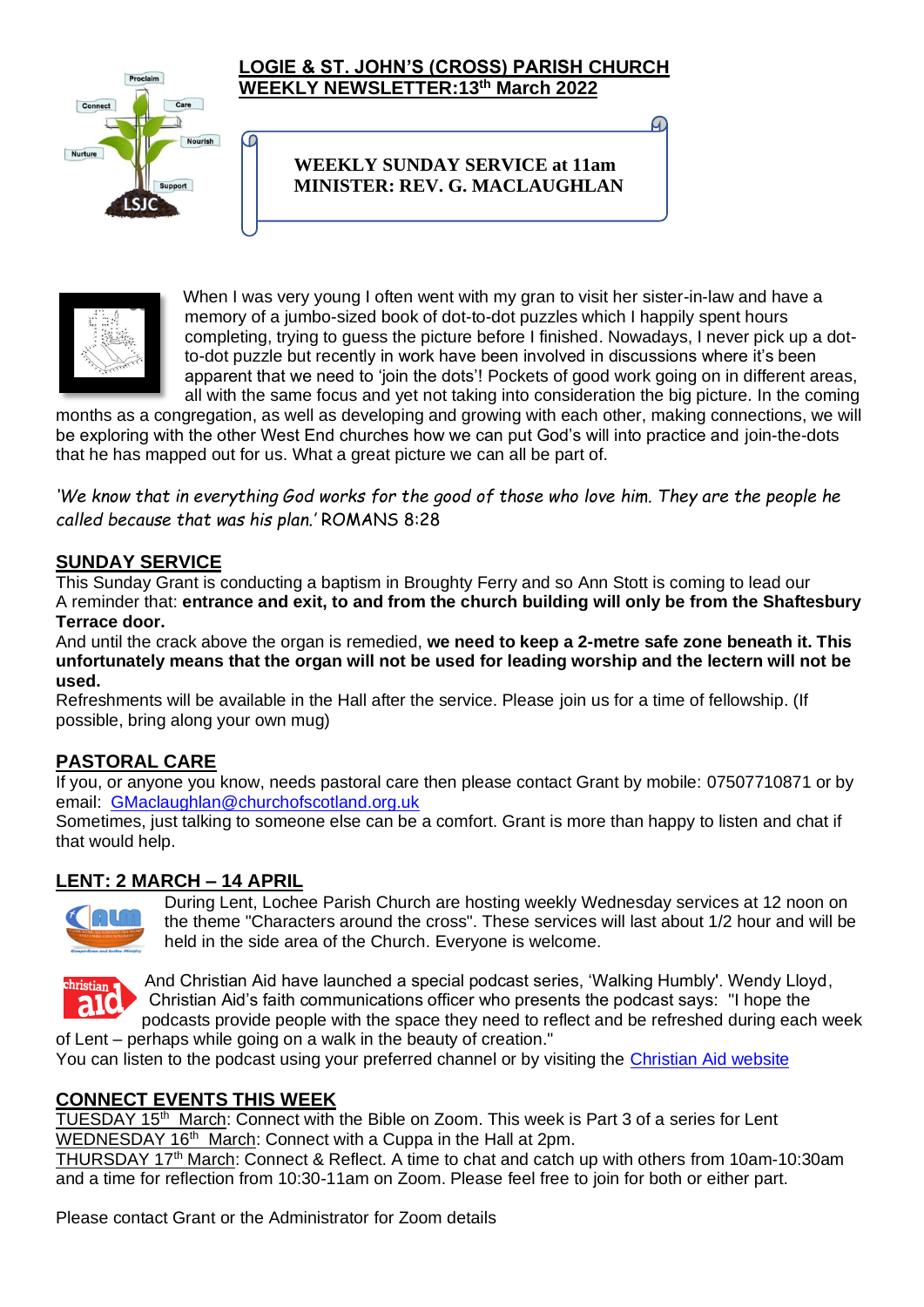

C

#### **LOGIE & ST. JOHN'S (CROSS) PARISH CHURCH WEEKLY NEWSLETTER:13th March 2022**

# **WEEKLY SUNDAY SERVICE at 11am MINISTER: REV. G. MACLAUGHLAN**



When I was very young I often went with my gran to visit her sister-in-law and have a memory of a jumbo-sized book of dot-to-dot puzzles which I happily spent hours completing, trying to guess the picture before I finished. Nowadays, I never pick up a dotto-dot puzzle but recently in work have been involved in discussions where it's been apparent that we need to 'join the dots'! Pockets of good work going on in different areas, all with the same focus and yet not taking into consideration the big picture. In the coming

months as a congregation, as well as developing and growing with each other, making connections, we will be exploring with the other West End churches how we can put God's will into practice and join-the-dots that he has mapped out for us. What a great picture we can all be part of.

*'We know that in everything God works for the good of those who love him. They are the people he called because that was his plan.'* ROMANS 8:28

# **SUNDAY SERVICE**

This Sunday Grant is conducting a baptism in Broughty Ferry and so Ann Stott is coming to lead our A reminder that: **entrance and exit, to and from the church building will only be from the Shaftesbury Terrace door.**

And until the crack above the organ is remedied, **we need to keep a 2-metre safe zone beneath it. This unfortunately means that the organ will not be used for leading worship and the lectern will not be used.**

Refreshments will be available in the Hall after the service. Please join us for a time of fellowship. (If possible, bring along your own mug)

### **PASTORAL CARE**

If you, or anyone you know, needs pastoral care then please contact Grant by mobile: 07507710871 or by email: [GMaclaughlan@churchofscotland.org.uk](mailto:GMaclaughlan@churchofscotland.org.uk)

Sometimes, just talking to someone else can be a comfort. Grant is more than happy to listen and chat if that would help.

### **LENT: 2 MARCH – 14 APRIL**



During Lent, Lochee Parish Church are hosting weekly Wednesday services at 12 noon on the theme "Characters around the cross". These services will last about 1/2 hour and will be held in the side area of the Church. Everyone is welcome.



And Christian Aid have launched a special podcast series, 'Walking Humbly'. Wendy Lloyd, Christian Aid's faith communications officer who presents the podcast says: "I hope the podcasts provide people with the space they need to reflect and be refreshed during each week

of Lent – perhaps while going on a walk in the beauty of creation." You can listen to the podcast using your preferred channel or by visiting the [Christian Aid website](https://christianaid.org.uk/lent)

### **CONNECT EVENTS THIS WEEK**

TUESDAY 15<sup>th</sup> March: Connect with the Bible on Zoom. This week is Part 3 of a series for Lent WEDNESDAY 16<sup>th</sup> March: Connect with a Cuppa in the Hall at 2pm.

THURSDAY 17<sup>th</sup> March: Connect & Reflect. A time to chat and catch up with others from 10am-10:30am and a time for reflection from 10:30-11am on Zoom. Please feel free to join for both or either part.

Please contact Grant or the Administrator for Zoom details